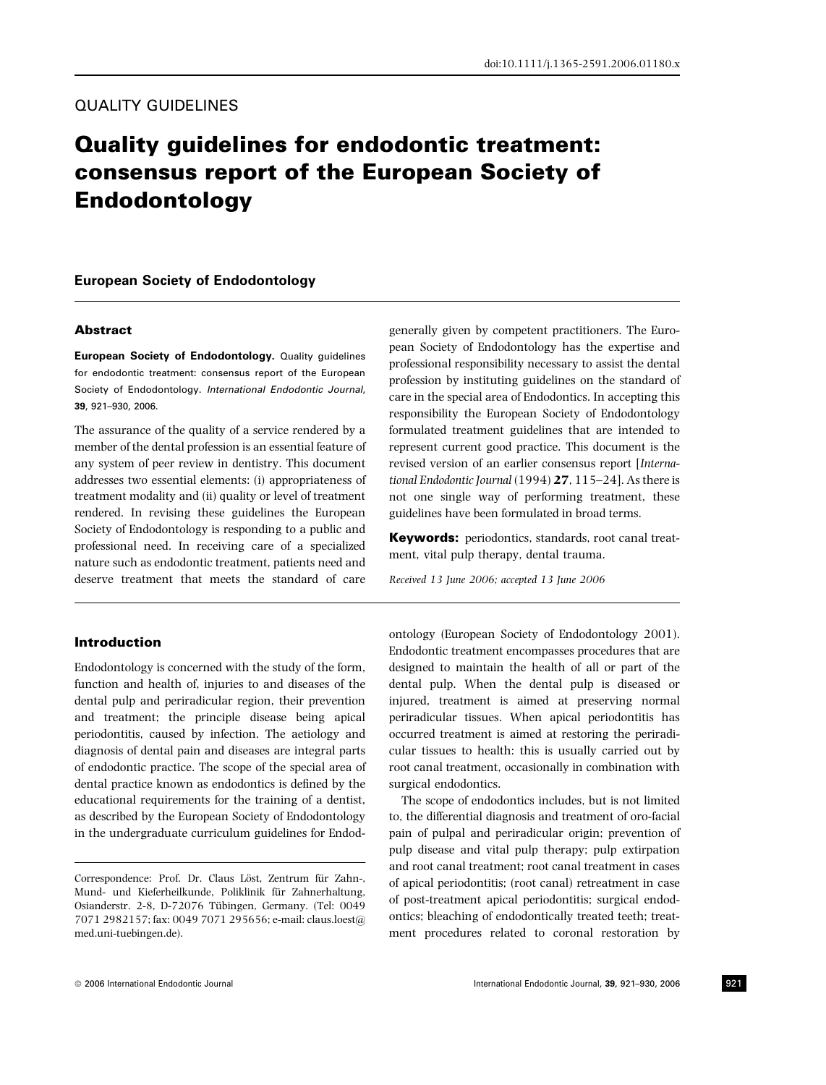# QUALITY GUIDELINES

# Quality guidelines for endodontic treatment: consensus report of the European Society of Endodontology

# European Society of Endodontology

# **Abstract**

European Society of Endodontology. Quality guidelines for endodontic treatment: consensus report of the European Society of Endodontology. International Endodontic Journal, 39, 921–930, 2006.

The assurance of the quality of a service rendered by a member of the dental profession is an essential feature of any system of peer review in dentistry. This document addresses two essential elements: (i) appropriateness of treatment modality and (ii) quality or level of treatment rendered. In revising these guidelines the European Society of Endodontology is responding to a public and professional need. In receiving care of a specialized nature such as endodontic treatment, patients need and deserve treatment that meets the standard of care

# Introduction

Endodontology is concerned with the study of the form, function and health of, injuries to and diseases of the dental pulp and periradicular region, their prevention and treatment; the principle disease being apical periodontitis, caused by infection. The aetiology and diagnosis of dental pain and diseases are integral parts of endodontic practice. The scope of the special area of dental practice known as endodontics is defined by the educational requirements for the training of a dentist, as described by the European Society of Endodontology in the undergraduate curriculum guidelines for Endodgenerally given by competent practitioners. The European Society of Endodontology has the expertise and professional responsibility necessary to assist the dental profession by instituting guidelines on the standard of care in the special area of Endodontics. In accepting this responsibility the European Society of Endodontology formulated treatment guidelines that are intended to represent current good practice. This document is the revised version of an earlier consensus report [International Endodontic Journal (1994) 27, 115–24]. As there is not one single way of performing treatment, these guidelines have been formulated in broad terms.

Keywords: periodontics, standards, root canal treatment, vital pulp therapy, dental trauma.

Received 13 June 2006; accepted 13 June 2006

ontology (European Society of Endodontology 2001). Endodontic treatment encompasses procedures that are designed to maintain the health of all or part of the dental pulp. When the dental pulp is diseased or injured, treatment is aimed at preserving normal periradicular tissues. When apical periodontitis has occurred treatment is aimed at restoring the periradicular tissues to health: this is usually carried out by root canal treatment, occasionally in combination with surgical endodontics.

The scope of endodontics includes, but is not limited to, the differential diagnosis and treatment of oro-facial pain of pulpal and periradicular origin; prevention of pulp disease and vital pulp therapy; pulp extirpation and root canal treatment; root canal treatment in cases of apical periodontitis; (root canal) retreatment in case of post-treatment apical periodontitis; surgical endodontics; bleaching of endodontically treated teeth; treatment procedures related to coronal restoration by

Correspondence: Prof. Dr. Claus Löst, Zentrum für Zahn-, Mund- und Kieferheilkunde, Poliklinik für Zahnerhaltung, Osianderstr. 2-8, D-72076 Tübingen, Germany. (Tel: 0049 7071 2982157; fax: 0049 7071 295656; e-mail: claus.loest@ med.uni-tuebingen.de).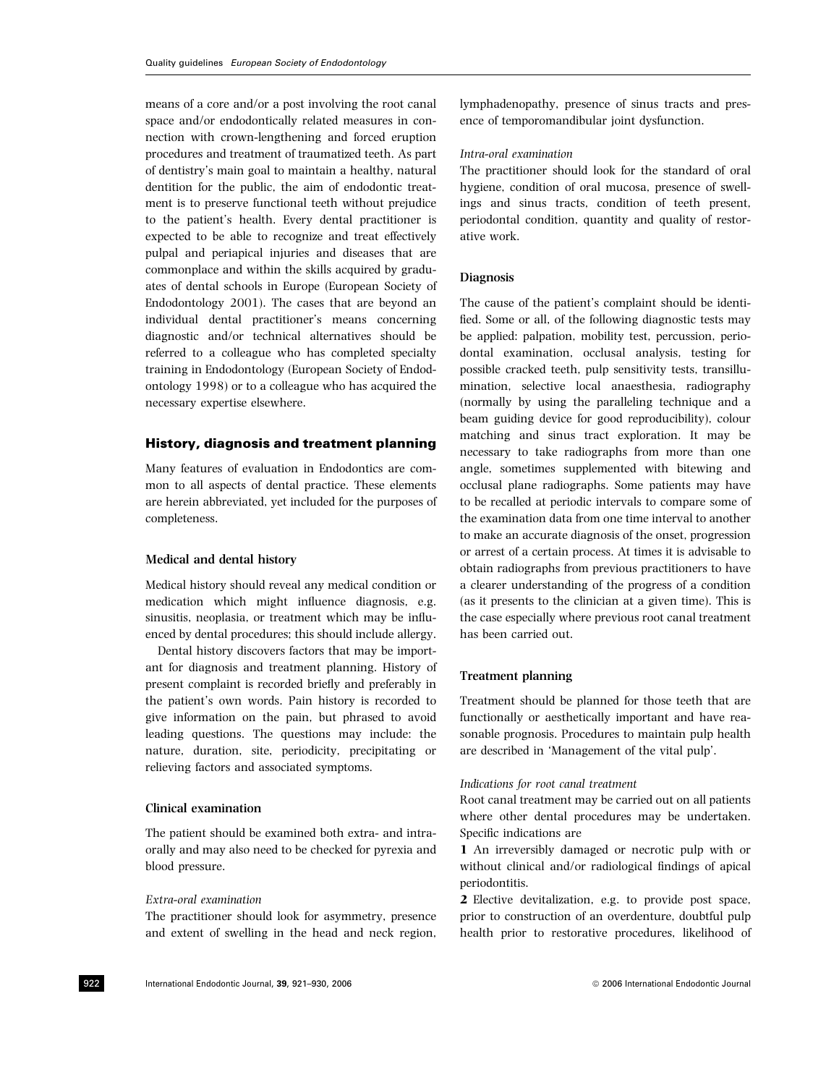means of a core and/or a post involving the root canal space and/or endodontically related measures in connection with crown-lengthening and forced eruption procedures and treatment of traumatized teeth. As part of dentistry's main goal to maintain a healthy, natural dentition for the public, the aim of endodontic treatment is to preserve functional teeth without prejudice to the patient's health. Every dental practitioner is expected to be able to recognize and treat effectively pulpal and periapical injuries and diseases that are commonplace and within the skills acquired by graduates of dental schools in Europe (European Society of Endodontology 2001). The cases that are beyond an individual dental practitioner's means concerning diagnostic and/or technical alternatives should be referred to a colleague who has completed specialty training in Endodontology (European Society of Endodontology 1998) or to a colleague who has acquired the necessary expertise elsewhere.

# History, diagnosis and treatment planning

Many features of evaluation in Endodontics are common to all aspects of dental practice. These elements are herein abbreviated, yet included for the purposes of completeness.

#### Medical and dental history

Medical history should reveal any medical condition or medication which might influence diagnosis, e.g. sinusitis, neoplasia, or treatment which may be influenced by dental procedures; this should include allergy.

Dental history discovers factors that may be important for diagnosis and treatment planning. History of present complaint is recorded briefly and preferably in the patient's own words. Pain history is recorded to give information on the pain, but phrased to avoid leading questions. The questions may include: the nature, duration, site, periodicity, precipitating or relieving factors and associated symptoms.

# Clinical examination

The patient should be examined both extra- and intraorally and may also need to be checked for pyrexia and blood pressure.

#### Extra-oral examination

The practitioner should look for asymmetry, presence and extent of swelling in the head and neck region, lymphadenopathy, presence of sinus tracts and presence of temporomandibular joint dysfunction.

#### Intra-oral examination

The practitioner should look for the standard of oral hygiene, condition of oral mucosa, presence of swellings and sinus tracts, condition of teeth present, periodontal condition, quantity and quality of restorative work.

#### Diagnosis

The cause of the patient's complaint should be identified. Some or all, of the following diagnostic tests may be applied: palpation, mobility test, percussion, periodontal examination, occlusal analysis, testing for possible cracked teeth, pulp sensitivity tests, transillumination, selective local anaesthesia, radiography (normally by using the paralleling technique and a beam guiding device for good reproducibility), colour matching and sinus tract exploration. It may be necessary to take radiographs from more than one angle, sometimes supplemented with bitewing and occlusal plane radiographs. Some patients may have to be recalled at periodic intervals to compare some of the examination data from one time interval to another to make an accurate diagnosis of the onset, progression or arrest of a certain process. At times it is advisable to obtain radiographs from previous practitioners to have a clearer understanding of the progress of a condition (as it presents to the clinician at a given time). This is the case especially where previous root canal treatment has been carried out.

## Treatment planning

Treatment should be planned for those teeth that are functionally or aesthetically important and have reasonable prognosis. Procedures to maintain pulp health are described in 'Management of the vital pulp'.

## Indications for root canal treatment

Root canal treatment may be carried out on all patients where other dental procedures may be undertaken. Specific indications are

1 An irreversibly damaged or necrotic pulp with or without clinical and/or radiological findings of apical periodontitis.

2 Elective devitalization, e.g. to provide post space, prior to construction of an overdenture, doubtful pulp health prior to restorative procedures, likelihood of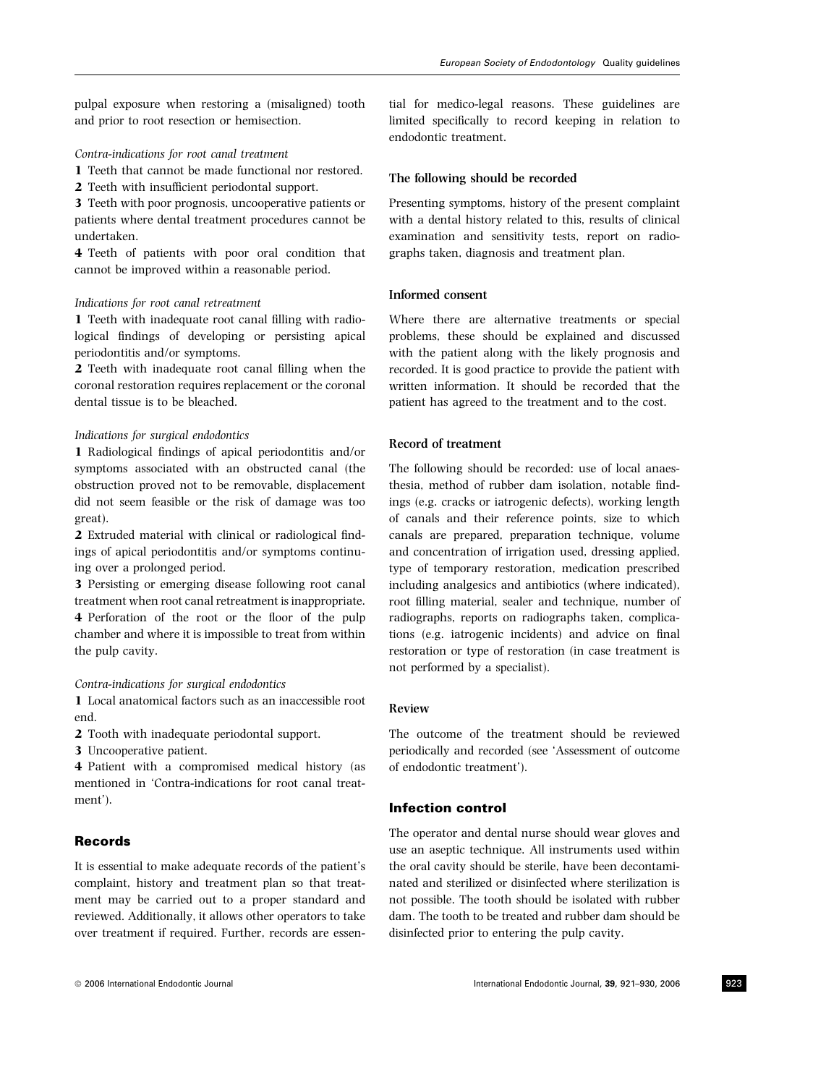pulpal exposure when restoring a (misaligned) tooth and prior to root resection or hemisection.

#### Contra-indications for root canal treatment

1 Teeth that cannot be made functional nor restored.

2 Teeth with insufficient periodontal support.

3 Teeth with poor prognosis, uncooperative patients or patients where dental treatment procedures cannot be undertaken.

4 Teeth of patients with poor oral condition that cannot be improved within a reasonable period.

#### Indications for root canal retreatment

1 Teeth with inadequate root canal filling with radiological findings of developing or persisting apical periodontitis and/or symptoms.

2 Teeth with inadequate root canal filling when the coronal restoration requires replacement or the coronal dental tissue is to be bleached.

#### Indications for surgical endodontics

1 Radiological findings of apical periodontitis and/or symptoms associated with an obstructed canal (the obstruction proved not to be removable, displacement did not seem feasible or the risk of damage was too great).

2 Extruded material with clinical or radiological findings of apical periodontitis and/or symptoms continuing over a prolonged period.

3 Persisting or emerging disease following root canal treatment when root canal retreatment is inappropriate. 4 Perforation of the root or the floor of the pulp chamber and where it is impossible to treat from within the pulp cavity.

## Contra-indications for surgical endodontics

1 Local anatomical factors such as an inaccessible root end.

- 2 Tooth with inadequate periodontal support.
- 3 Uncooperative patient.

4 Patient with a compromised medical history (as mentioned in 'Contra-indications for root canal treatment').

# Records

It is essential to make adequate records of the patient's complaint, history and treatment plan so that treatment may be carried out to a proper standard and reviewed. Additionally, it allows other operators to take over treatment if required. Further, records are essential for medico-legal reasons. These guidelines are limited specifically to record keeping in relation to endodontic treatment.

#### The following should be recorded

Presenting symptoms, history of the present complaint with a dental history related to this, results of clinical examination and sensitivity tests, report on radiographs taken, diagnosis and treatment plan.

# Informed consent

Where there are alternative treatments or special problems, these should be explained and discussed with the patient along with the likely prognosis and recorded. It is good practice to provide the patient with written information. It should be recorded that the patient has agreed to the treatment and to the cost.

# Record of treatment

The following should be recorded: use of local anaesthesia, method of rubber dam isolation, notable findings (e.g. cracks or iatrogenic defects), working length of canals and their reference points, size to which canals are prepared, preparation technique, volume and concentration of irrigation used, dressing applied, type of temporary restoration, medication prescribed including analgesics and antibiotics (where indicated), root filling material, sealer and technique, number of radiographs, reports on radiographs taken, complications (e.g. iatrogenic incidents) and advice on final restoration or type of restoration (in case treatment is not performed by a specialist).

#### Review

The outcome of the treatment should be reviewed periodically and recorded (see 'Assessment of outcome of endodontic treatment').

# Infection control

The operator and dental nurse should wear gloves and use an aseptic technique. All instruments used within the oral cavity should be sterile, have been decontaminated and sterilized or disinfected where sterilization is not possible. The tooth should be isolated with rubber dam. The tooth to be treated and rubber dam should be disinfected prior to entering the pulp cavity.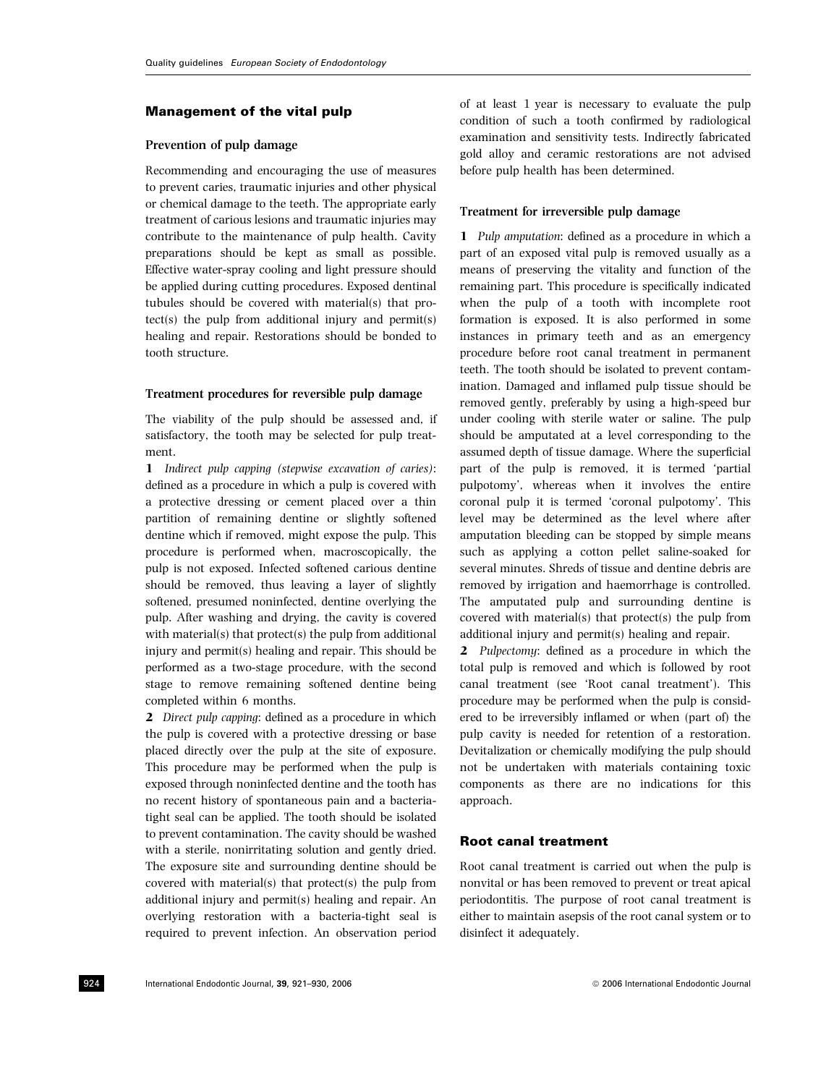# Management of the vital pulp

## Prevention of pulp damage

Recommending and encouraging the use of measures to prevent caries, traumatic injuries and other physical or chemical damage to the teeth. The appropriate early treatment of carious lesions and traumatic injuries may contribute to the maintenance of pulp health. Cavity preparations should be kept as small as possible. Effective water-spray cooling and light pressure should be applied during cutting procedures. Exposed dentinal tubules should be covered with material(s) that pro $tect(s)$  the pulp from additional injury and permit(s) healing and repair. Restorations should be bonded to tooth structure.

#### Treatment procedures for reversible pulp damage

The viability of the pulp should be assessed and, if satisfactory, the tooth may be selected for pulp treatment.

1 Indirect pulp capping (stepwise excavation of caries): defined as a procedure in which a pulp is covered with a protective dressing or cement placed over a thin partition of remaining dentine or slightly softened dentine which if removed, might expose the pulp. This procedure is performed when, macroscopically, the pulp is not exposed. Infected softened carious dentine should be removed, thus leaving a layer of slightly softened, presumed noninfected, dentine overlying the pulp. After washing and drying, the cavity is covered with material(s) that protect(s) the pulp from additional injury and permit(s) healing and repair. This should be performed as a two-stage procedure, with the second stage to remove remaining softened dentine being completed within 6 months.

2 Direct pulp capping: defined as a procedure in which the pulp is covered with a protective dressing or base placed directly over the pulp at the site of exposure. This procedure may be performed when the pulp is exposed through noninfected dentine and the tooth has no recent history of spontaneous pain and a bacteriatight seal can be applied. The tooth should be isolated to prevent contamination. The cavity should be washed with a sterile, nonirritating solution and gently dried. The exposure site and surrounding dentine should be covered with material(s) that protect(s) the pulp from additional injury and permit(s) healing and repair. An overlying restoration with a bacteria-tight seal is required to prevent infection. An observation period of at least 1 year is necessary to evaluate the pulp condition of such a tooth confirmed by radiological examination and sensitivity tests. Indirectly fabricated gold alloy and ceramic restorations are not advised before pulp health has been determined.

#### Treatment for irreversible pulp damage

1 Pulp amputation: defined as a procedure in which a part of an exposed vital pulp is removed usually as a means of preserving the vitality and function of the remaining part. This procedure is specifically indicated when the pulp of a tooth with incomplete root formation is exposed. It is also performed in some instances in primary teeth and as an emergency procedure before root canal treatment in permanent teeth. The tooth should be isolated to prevent contamination. Damaged and inflamed pulp tissue should be removed gently, preferably by using a high-speed bur under cooling with sterile water or saline. The pulp should be amputated at a level corresponding to the assumed depth of tissue damage. Where the superficial part of the pulp is removed, it is termed 'partial pulpotomy', whereas when it involves the entire coronal pulp it is termed 'coronal pulpotomy'. This level may be determined as the level where after amputation bleeding can be stopped by simple means such as applying a cotton pellet saline-soaked for several minutes. Shreds of tissue and dentine debris are removed by irrigation and haemorrhage is controlled. The amputated pulp and surrounding dentine is covered with material(s) that protect(s) the pulp from additional injury and permit(s) healing and repair.

2 Pulpectomy: defined as a procedure in which the total pulp is removed and which is followed by root canal treatment (see 'Root canal treatment'). This procedure may be performed when the pulp is considered to be irreversibly inflamed or when (part of) the pulp cavity is needed for retention of a restoration. Devitalization or chemically modifying the pulp should not be undertaken with materials containing toxic components as there are no indications for this approach.

# Root canal treatment

Root canal treatment is carried out when the pulp is nonvital or has been removed to prevent or treat apical periodontitis. The purpose of root canal treatment is either to maintain asepsis of the root canal system or to disinfect it adequately.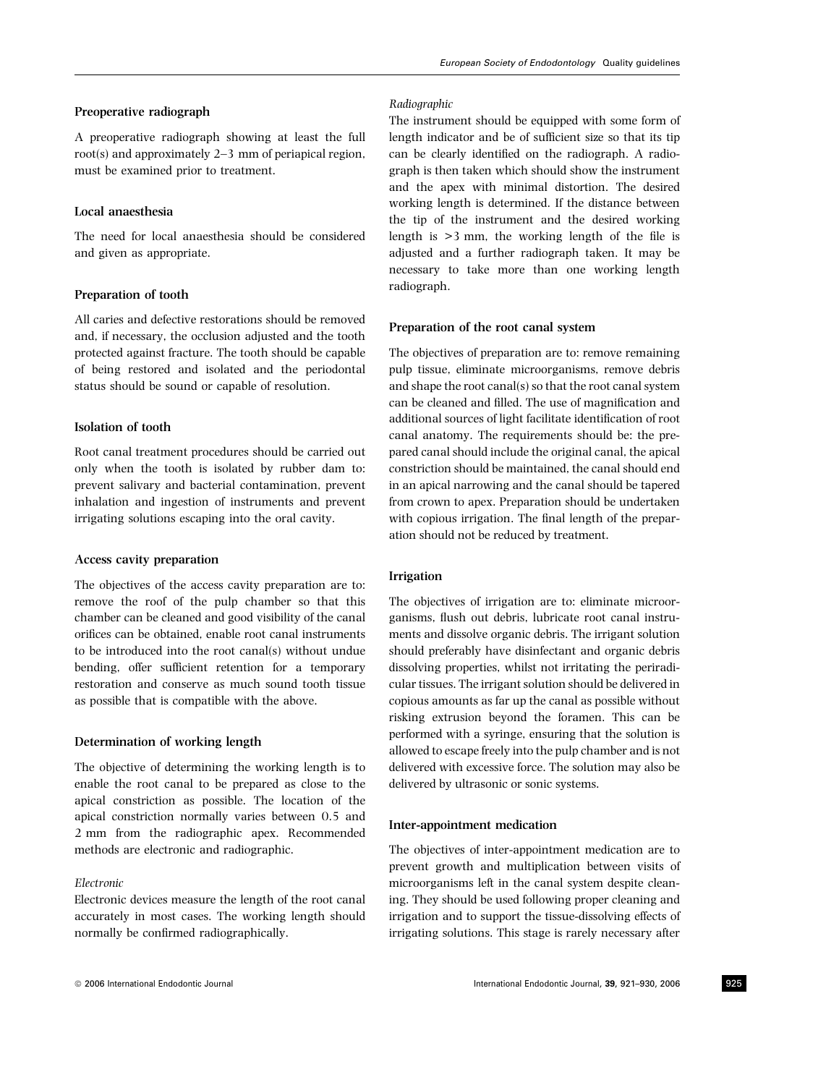A preoperative radiograph showing at least the full root(s) and approximately 2–3 mm of periapical region, must be examined prior to treatment.

## Local anaesthesia

The need for local anaesthesia should be considered and given as appropriate.

#### Preparation of tooth

All caries and defective restorations should be removed and, if necessary, the occlusion adjusted and the tooth protected against fracture. The tooth should be capable of being restored and isolated and the periodontal status should be sound or capable of resolution.

# Isolation of tooth

Root canal treatment procedures should be carried out only when the tooth is isolated by rubber dam to: prevent salivary and bacterial contamination, prevent inhalation and ingestion of instruments and prevent irrigating solutions escaping into the oral cavity.

#### Access cavity preparation

The objectives of the access cavity preparation are to: remove the roof of the pulp chamber so that this chamber can be cleaned and good visibility of the canal orifices can be obtained, enable root canal instruments to be introduced into the root canal(s) without undue bending, offer sufficient retention for a temporary restoration and conserve as much sound tooth tissue as possible that is compatible with the above.

#### Determination of working length

The objective of determining the working length is to enable the root canal to be prepared as close to the apical constriction as possible. The location of the apical constriction normally varies between 0.5 and 2 mm from the radiographic apex. Recommended methods are electronic and radiographic.

# Electronic

Electronic devices measure the length of the root canal accurately in most cases. The working length should normally be confirmed radiographically.

# Radiographic

The instrument should be equipped with some form of length indicator and be of sufficient size so that its tip can be clearly identified on the radiograph. A radiograph is then taken which should show the instrument and the apex with minimal distortion. The desired working length is determined. If the distance between the tip of the instrument and the desired working length is >3 mm, the working length of the file is adjusted and a further radiograph taken. It may be necessary to take more than one working length radiograph.

#### Preparation of the root canal system

The objectives of preparation are to: remove remaining pulp tissue, eliminate microorganisms, remove debris and shape the root canal(s) so that the root canal system can be cleaned and filled. The use of magnification and additional sources of light facilitate identification of root canal anatomy. The requirements should be: the prepared canal should include the original canal, the apical constriction should be maintained, the canal should end in an apical narrowing and the canal should be tapered from crown to apex. Preparation should be undertaken with copious irrigation. The final length of the preparation should not be reduced by treatment.

#### Irrigation

The objectives of irrigation are to: eliminate microorganisms, flush out debris, lubricate root canal instruments and dissolve organic debris. The irrigant solution should preferably have disinfectant and organic debris dissolving properties, whilst not irritating the periradicular tissues. The irrigant solution should be delivered in copious amounts as far up the canal as possible without risking extrusion beyond the foramen. This can be performed with a syringe, ensuring that the solution is allowed to escape freely into the pulp chamber and is not delivered with excessive force. The solution may also be delivered by ultrasonic or sonic systems.

#### Inter-appointment medication

The objectives of inter-appointment medication are to prevent growth and multiplication between visits of microorganisms left in the canal system despite cleaning. They should be used following proper cleaning and irrigation and to support the tissue-dissolving effects of irrigating solutions. This stage is rarely necessary after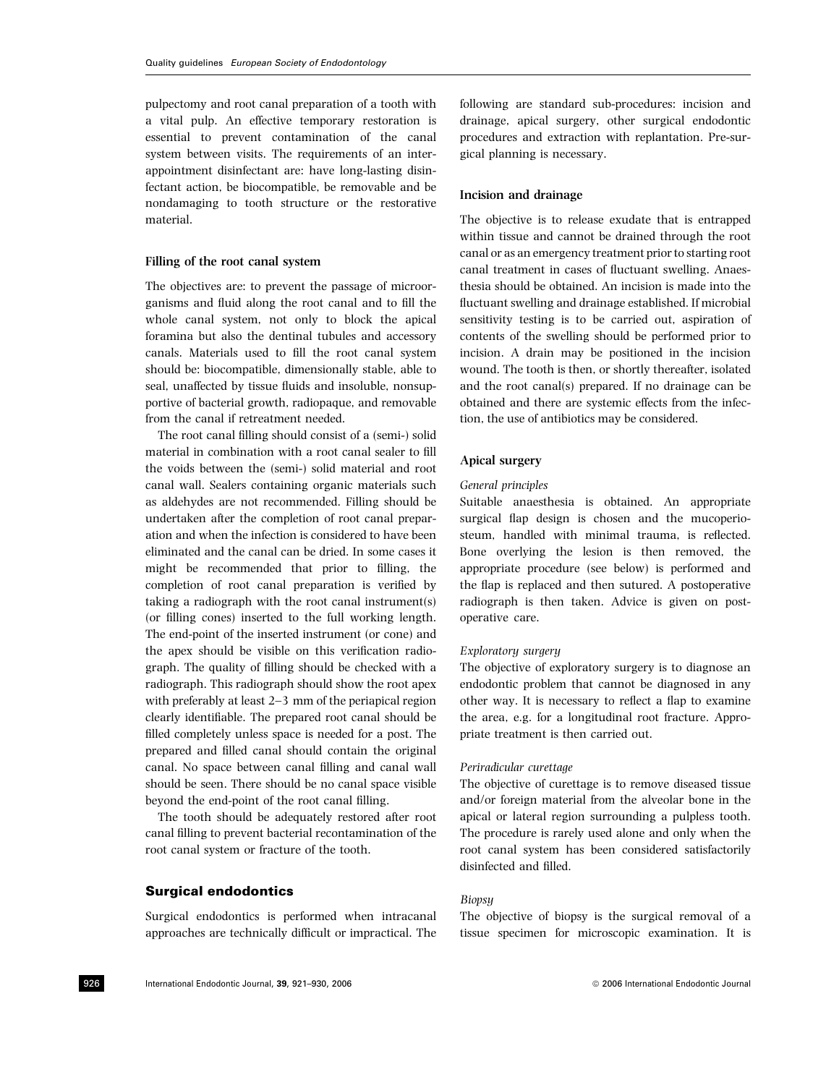pulpectomy and root canal preparation of a tooth with a vital pulp. An effective temporary restoration is essential to prevent contamination of the canal system between visits. The requirements of an interappointment disinfectant are: have long-lasting disinfectant action, be biocompatible, be removable and be nondamaging to tooth structure or the restorative material.

#### Filling of the root canal system

The objectives are: to prevent the passage of microorganisms and fluid along the root canal and to fill the whole canal system, not only to block the apical foramina but also the dentinal tubules and accessory canals. Materials used to fill the root canal system should be: biocompatible, dimensionally stable, able to seal, unaffected by tissue fluids and insoluble, nonsupportive of bacterial growth, radiopaque, and removable from the canal if retreatment needed.

The root canal filling should consist of a (semi-) solid material in combination with a root canal sealer to fill the voids between the (semi-) solid material and root canal wall. Sealers containing organic materials such as aldehydes are not recommended. Filling should be undertaken after the completion of root canal preparation and when the infection is considered to have been eliminated and the canal can be dried. In some cases it might be recommended that prior to filling, the completion of root canal preparation is verified by taking a radiograph with the root canal instrument(s) (or filling cones) inserted to the full working length. The end-point of the inserted instrument (or cone) and the apex should be visible on this verification radiograph. The quality of filling should be checked with a radiograph. This radiograph should show the root apex with preferably at least 2–3 mm of the periapical region clearly identifiable. The prepared root canal should be filled completely unless space is needed for a post. The prepared and filled canal should contain the original canal. No space between canal filling and canal wall should be seen. There should be no canal space visible beyond the end-point of the root canal filling.

The tooth should be adequately restored after root canal filling to prevent bacterial recontamination of the root canal system or fracture of the tooth.

# Surgical endodontics

Surgical endodontics is performed when intracanal approaches are technically difficult or impractical. The following are standard sub-procedures: incision and drainage, apical surgery, other surgical endodontic procedures and extraction with replantation. Pre-surgical planning is necessary.

#### Incision and drainage

The objective is to release exudate that is entrapped within tissue and cannot be drained through the root canal or as an emergency treatment prior to starting root canal treatment in cases of fluctuant swelling. Anaesthesia should be obtained. An incision is made into the fluctuant swelling and drainage established. If microbial sensitivity testing is to be carried out, aspiration of contents of the swelling should be performed prior to incision. A drain may be positioned in the incision wound. The tooth is then, or shortly thereafter, isolated and the root canal(s) prepared. If no drainage can be obtained and there are systemic effects from the infection, the use of antibiotics may be considered.

## Apical surgery

# General principles

Suitable anaesthesia is obtained. An appropriate surgical flap design is chosen and the mucoperiosteum, handled with minimal trauma, is reflected. Bone overlying the lesion is then removed, the appropriate procedure (see below) is performed and the flap is replaced and then sutured. A postoperative radiograph is then taken. Advice is given on postoperative care.

#### Exploratory surgery

The objective of exploratory surgery is to diagnose an endodontic problem that cannot be diagnosed in any other way. It is necessary to reflect a flap to examine the area, e.g. for a longitudinal root fracture. Appropriate treatment is then carried out.

#### Periradicular curettage

The objective of curettage is to remove diseased tissue and/or foreign material from the alveolar bone in the apical or lateral region surrounding a pulpless tooth. The procedure is rarely used alone and only when the root canal system has been considered satisfactorily disinfected and filled.

# Biopsy

The objective of biopsy is the surgical removal of a tissue specimen for microscopic examination. It is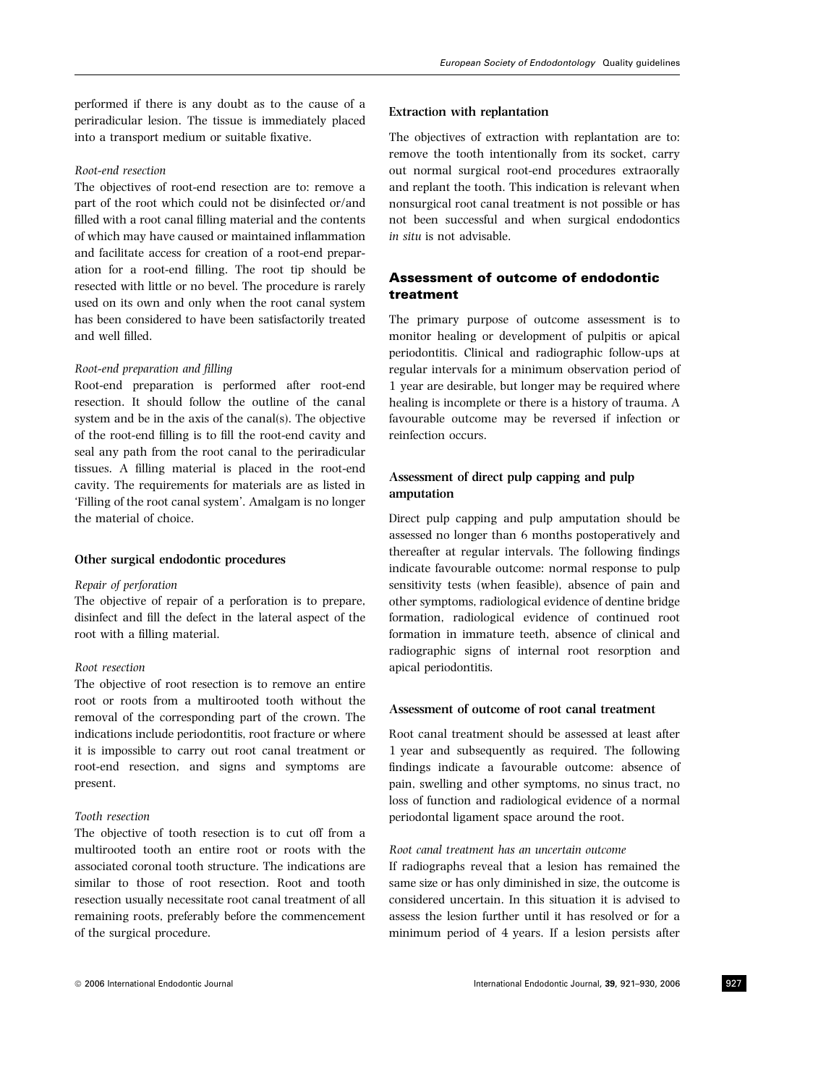performed if there is any doubt as to the cause of a periradicular lesion. The tissue is immediately placed into a transport medium or suitable fixative.

#### Root-end resection

The objectives of root-end resection are to: remove a part of the root which could not be disinfected or/and filled with a root canal filling material and the contents of which may have caused or maintained inflammation and facilitate access for creation of a root-end preparation for a root-end filling. The root tip should be resected with little or no bevel. The procedure is rarely used on its own and only when the root canal system has been considered to have been satisfactorily treated and well filled.

# Root-end preparation and filling

Root-end preparation is performed after root-end resection. It should follow the outline of the canal system and be in the axis of the canal(s). The objective of the root-end filling is to fill the root-end cavity and seal any path from the root canal to the periradicular tissues. A filling material is placed in the root-end cavity. The requirements for materials are as listed in 'Filling of the root canal system'. Amalgam is no longer the material of choice.

#### Other surgical endodontic procedures

#### Repair of perforation

The objective of repair of a perforation is to prepare, disinfect and fill the defect in the lateral aspect of the root with a filling material.

# Root resection

The objective of root resection is to remove an entire root or roots from a multirooted tooth without the removal of the corresponding part of the crown. The indications include periodontitis, root fracture or where it is impossible to carry out root canal treatment or root-end resection, and signs and symptoms are present.

#### Tooth resection

The objective of tooth resection is to cut off from a multirooted tooth an entire root or roots with the associated coronal tooth structure. The indications are similar to those of root resection. Root and tooth resection usually necessitate root canal treatment of all remaining roots, preferably before the commencement of the surgical procedure.

#### Extraction with replantation

The objectives of extraction with replantation are to: remove the tooth intentionally from its socket, carry out normal surgical root-end procedures extraorally and replant the tooth. This indication is relevant when nonsurgical root canal treatment is not possible or has not been successful and when surgical endodontics in situ is not advisable.

# Assessment of outcome of endodontic treatment

The primary purpose of outcome assessment is to monitor healing or development of pulpitis or apical periodontitis. Clinical and radiographic follow-ups at regular intervals for a minimum observation period of 1 year are desirable, but longer may be required where healing is incomplete or there is a history of trauma. A favourable outcome may be reversed if infection or reinfection occurs.

# Assessment of direct pulp capping and pulp amputation

Direct pulp capping and pulp amputation should be assessed no longer than 6 months postoperatively and thereafter at regular intervals. The following findings indicate favourable outcome: normal response to pulp sensitivity tests (when feasible), absence of pain and other symptoms, radiological evidence of dentine bridge formation, radiological evidence of continued root formation in immature teeth, absence of clinical and radiographic signs of internal root resorption and apical periodontitis.

# Assessment of outcome of root canal treatment

Root canal treatment should be assessed at least after 1 year and subsequently as required. The following findings indicate a favourable outcome: absence of pain, swelling and other symptoms, no sinus tract, no loss of function and radiological evidence of a normal periodontal ligament space around the root.

# Root canal treatment has an uncertain outcome

If radiographs reveal that a lesion has remained the same size or has only diminished in size, the outcome is considered uncertain. In this situation it is advised to assess the lesion further until it has resolved or for a minimum period of 4 years. If a lesion persists after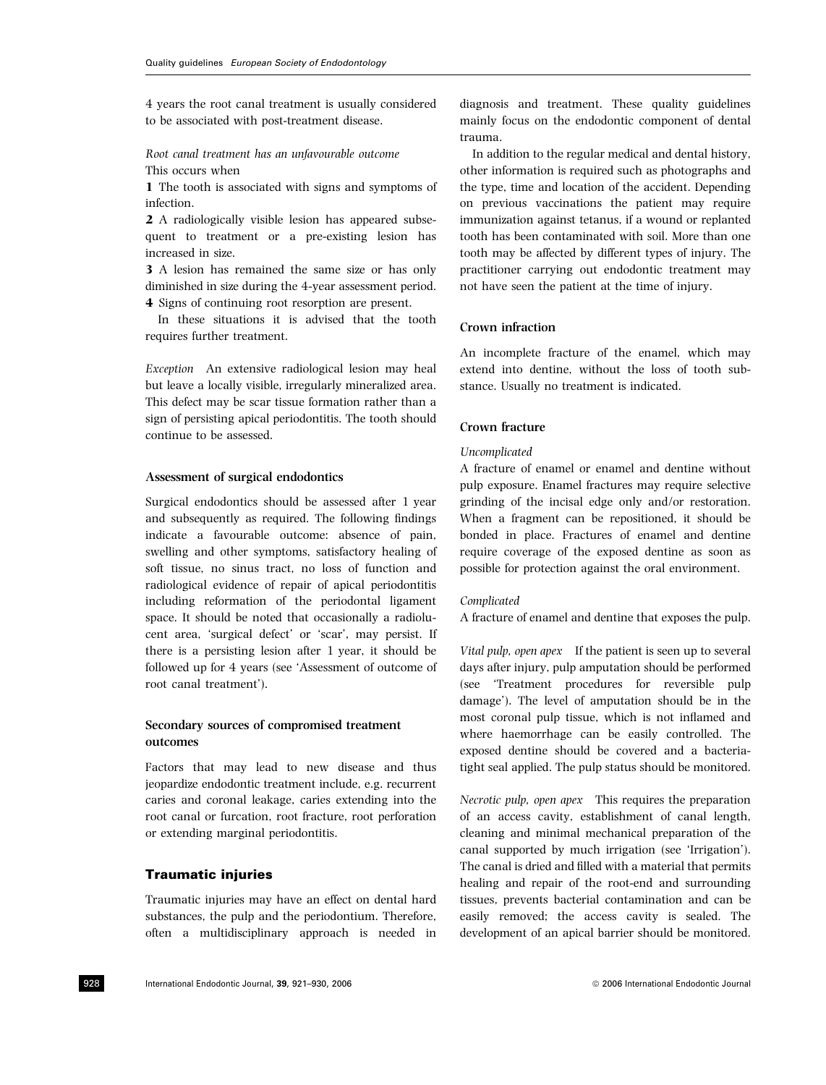4 years the root canal treatment is usually considered to be associated with post-treatment disease.

Root canal treatment has an unfavourable outcome This occurs when

1 The tooth is associated with signs and symptoms of infection.

2 A radiologically visible lesion has appeared subsequent to treatment or a pre-existing lesion has increased in size.

3 A lesion has remained the same size or has only diminished in size during the 4-year assessment period. 4 Signs of continuing root resorption are present.

In these situations it is advised that the tooth requires further treatment.

Exception An extensive radiological lesion may heal but leave a locally visible, irregularly mineralized area. This defect may be scar tissue formation rather than a sign of persisting apical periodontitis. The tooth should continue to be assessed.

#### Assessment of surgical endodontics

Surgical endodontics should be assessed after 1 year and subsequently as required. The following findings indicate a favourable outcome: absence of pain, swelling and other symptoms, satisfactory healing of soft tissue, no sinus tract, no loss of function and radiological evidence of repair of apical periodontitis including reformation of the periodontal ligament space. It should be noted that occasionally a radiolucent area, 'surgical defect' or 'scar', may persist. If there is a persisting lesion after 1 year, it should be followed up for 4 years (see 'Assessment of outcome of root canal treatment').

# Secondary sources of compromised treatment outcomes

Factors that may lead to new disease and thus jeopardize endodontic treatment include, e.g. recurrent caries and coronal leakage, caries extending into the root canal or furcation, root fracture, root perforation or extending marginal periodontitis.

# Traumatic injuries

Traumatic injuries may have an effect on dental hard substances, the pulp and the periodontium. Therefore, often a multidisciplinary approach is needed in diagnosis and treatment. These quality guidelines mainly focus on the endodontic component of dental trauma.

In addition to the regular medical and dental history, other information is required such as photographs and the type, time and location of the accident. Depending on previous vaccinations the patient may require immunization against tetanus, if a wound or replanted tooth has been contaminated with soil. More than one tooth may be affected by different types of injury. The practitioner carrying out endodontic treatment may not have seen the patient at the time of injury.

# Crown infraction

An incomplete fracture of the enamel, which may extend into dentine, without the loss of tooth substance. Usually no treatment is indicated.

# Crown fracture

# Uncomplicated

A fracture of enamel or enamel and dentine without pulp exposure. Enamel fractures may require selective grinding of the incisal edge only and/or restoration. When a fragment can be repositioned, it should be bonded in place. Fractures of enamel and dentine require coverage of the exposed dentine as soon as possible for protection against the oral environment.

#### Complicated

A fracture of enamel and dentine that exposes the pulp.

Vital pulp, open apex If the patient is seen up to several days after injury, pulp amputation should be performed (see 'Treatment procedures for reversible pulp damage'). The level of amputation should be in the most coronal pulp tissue, which is not inflamed and where haemorrhage can be easily controlled. The exposed dentine should be covered and a bacteriatight seal applied. The pulp status should be monitored.

Necrotic pulp, open apex This requires the preparation of an access cavity, establishment of canal length, cleaning and minimal mechanical preparation of the canal supported by much irrigation (see 'Irrigation'). The canal is dried and filled with a material that permits healing and repair of the root-end and surrounding tissues, prevents bacterial contamination and can be easily removed; the access cavity is sealed. The development of an apical barrier should be monitored.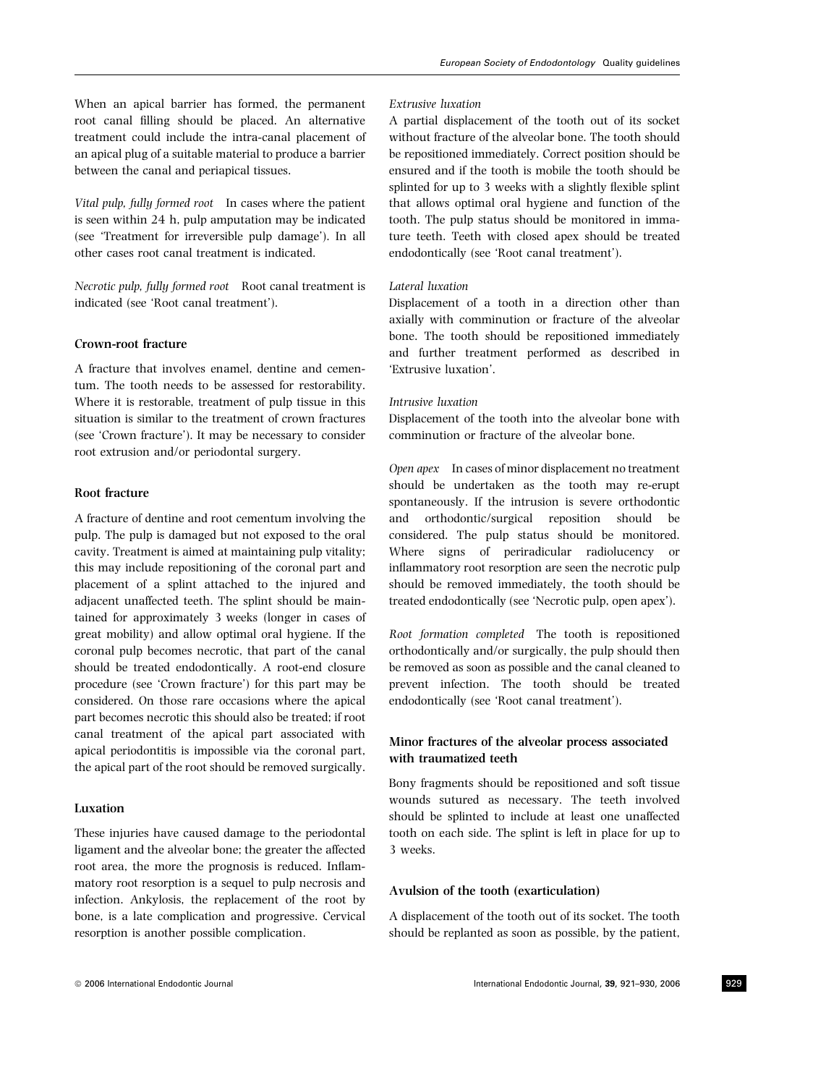When an apical barrier has formed, the permanent root canal filling should be placed. An alternative treatment could include the intra-canal placement of an apical plug of a suitable material to produce a barrier between the canal and periapical tissues.

Vital pulp, fully formed root In cases where the patient is seen within 24 h, pulp amputation may be indicated (see 'Treatment for irreversible pulp damage'). In all other cases root canal treatment is indicated.

Necrotic pulp, fully formed root Root canal treatment is indicated (see 'Root canal treatment').

# Crown-root fracture

A fracture that involves enamel, dentine and cementum. The tooth needs to be assessed for restorability. Where it is restorable, treatment of pulp tissue in this situation is similar to the treatment of crown fractures (see 'Crown fracture'). It may be necessary to consider root extrusion and/or periodontal surgery.

# Root fracture

A fracture of dentine and root cementum involving the pulp. The pulp is damaged but not exposed to the oral cavity. Treatment is aimed at maintaining pulp vitality; this may include repositioning of the coronal part and placement of a splint attached to the injured and adjacent unaffected teeth. The splint should be maintained for approximately 3 weeks (longer in cases of great mobility) and allow optimal oral hygiene. If the coronal pulp becomes necrotic, that part of the canal should be treated endodontically. A root-end closure procedure (see 'Crown fracture') for this part may be considered. On those rare occasions where the apical part becomes necrotic this should also be treated; if root canal treatment of the apical part associated with apical periodontitis is impossible via the coronal part, the apical part of the root should be removed surgically.

#### Luxation

These injuries have caused damage to the periodontal ligament and the alveolar bone; the greater the affected root area, the more the prognosis is reduced. Inflammatory root resorption is a sequel to pulp necrosis and infection. Ankylosis, the replacement of the root by bone, is a late complication and progressive. Cervical resorption is another possible complication.

#### Extrusive luxation

A partial displacement of the tooth out of its socket without fracture of the alveolar bone. The tooth should be repositioned immediately. Correct position should be ensured and if the tooth is mobile the tooth should be splinted for up to 3 weeks with a slightly flexible splint that allows optimal oral hygiene and function of the tooth. The pulp status should be monitored in immature teeth. Teeth with closed apex should be treated endodontically (see 'Root canal treatment').

#### Lateral luxation

Displacement of a tooth in a direction other than axially with comminution or fracture of the alveolar bone. The tooth should be repositioned immediately and further treatment performed as described in 'Extrusive luxation'.

# Intrusive luxation

Displacement of the tooth into the alveolar bone with comminution or fracture of the alveolar bone.

Open apex In cases of minor displacement no treatment should be undertaken as the tooth may re-erupt spontaneously. If the intrusion is severe orthodontic and orthodontic/surgical reposition should be considered. The pulp status should be monitored. Where signs of periradicular radiolucency or inflammatory root resorption are seen the necrotic pulp should be removed immediately, the tooth should be treated endodontically (see 'Necrotic pulp, open apex').

Root formation completed The tooth is repositioned orthodontically and/or surgically, the pulp should then be removed as soon as possible and the canal cleaned to prevent infection. The tooth should be treated endodontically (see 'Root canal treatment').

# Minor fractures of the alveolar process associated with traumatized teeth

Bony fragments should be repositioned and soft tissue wounds sutured as necessary. The teeth involved should be splinted to include at least one unaffected tooth on each side. The splint is left in place for up to 3 weeks.

#### Avulsion of the tooth (exarticulation)

A displacement of the tooth out of its socket. The tooth should be replanted as soon as possible, by the patient,